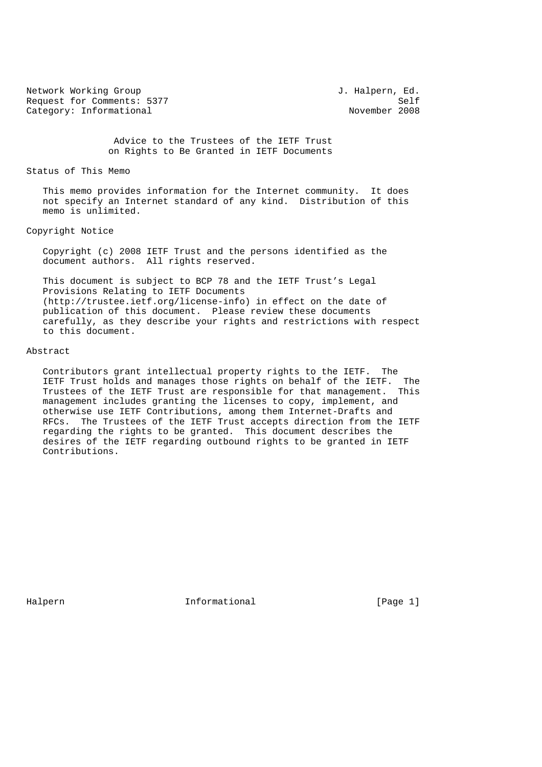Network Working Group 3. Halpern, Ed. Request for Comments: 5377<br>
Category: Informational and Solid Movember 2008 Category: Informational

 Advice to the Trustees of the IETF Trust on Rights to Be Granted in IETF Documents

# Status of This Memo

 This memo provides information for the Internet community. It does not specify an Internet standard of any kind. Distribution of this memo is unlimited.

### Copyright Notice

 Copyright (c) 2008 IETF Trust and the persons identified as the document authors. All rights reserved.

 This document is subject to BCP 78 and the IETF Trust's Legal Provisions Relating to IETF Documents (http://trustee.ietf.org/license-info) in effect on the date of publication of this document. Please review these documents carefully, as they describe your rights and restrictions with respect to this document.

#### Abstract

 Contributors grant intellectual property rights to the IETF. The IETF Trust holds and manages those rights on behalf of the IETF. The Trustees of the IETF Trust are responsible for that management. This management includes granting the licenses to copy, implement, and otherwise use IETF Contributions, among them Internet-Drafts and RFCs. The Trustees of the IETF Trust accepts direction from the IETF regarding the rights to be granted. This document describes the desires of the IETF regarding outbound rights to be granted in IETF Contributions.

Halpern 1nformational [Page 1]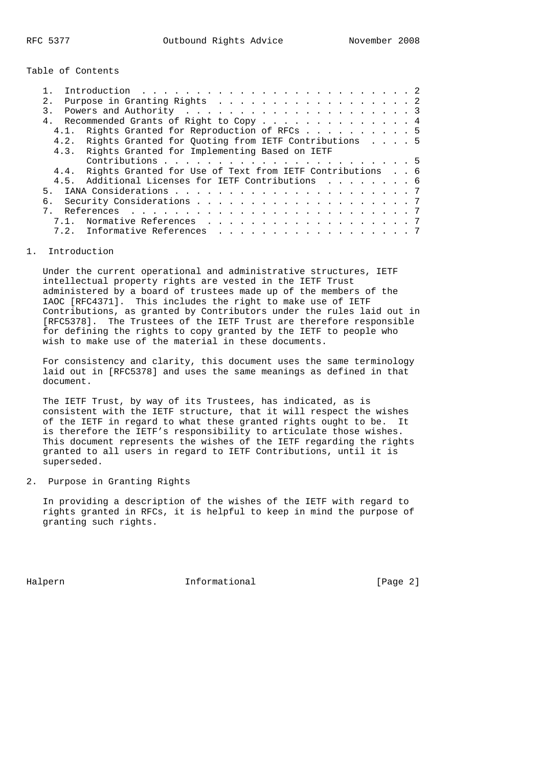Table of Contents

| Introduction $\ldots \ldots \ldots \ldots \ldots \ldots \ldots \ldots \ldots \ldots$ |  |  |
|--------------------------------------------------------------------------------------|--|--|
| Purpose in Granting Rights 2<br>2.1                                                  |  |  |
|                                                                                      |  |  |
| Recommended Grants of Right to Copy 4<br>4 <sub>1</sub>                              |  |  |
| Rights Granted for Reproduction of RFCs 5<br>4.1.                                    |  |  |
| 4.2. Rights Granted for Quoting from IETF Contributions 5                            |  |  |
| 4.3. Rights Granted for Implementing Based on IETF                                   |  |  |
|                                                                                      |  |  |
| 4.4. Rights Granted for Use of Text from IETF Contributions 6                        |  |  |
| Additional Licenses for IETF Contributions 6<br>4 5                                  |  |  |
| 5 <sub>1</sub>                                                                       |  |  |
|                                                                                      |  |  |
|                                                                                      |  |  |
| Normative References 7<br>7.1.                                                       |  |  |
| 7.2. Informative References 7                                                        |  |  |
|                                                                                      |  |  |

## 1. Introduction

 Under the current operational and administrative structures, IETF intellectual property rights are vested in the IETF Trust administered by a board of trustees made up of the members of the IAOC [RFC4371]. This includes the right to make use of IETF Contributions, as granted by Contributors under the rules laid out in [RFC5378]. The Trustees of the IETF Trust are therefore responsible for defining the rights to copy granted by the IETF to people who wish to make use of the material in these documents.

 For consistency and clarity, this document uses the same terminology laid out in [RFC5378] and uses the same meanings as defined in that document.

 The IETF Trust, by way of its Trustees, has indicated, as is consistent with the IETF structure, that it will respect the wishes of the IETF in regard to what these granted rights ought to be. It is therefore the IETF's responsibility to articulate those wishes. This document represents the wishes of the IETF regarding the rights granted to all users in regard to IETF Contributions, until it is superseded.

# 2. Purpose in Granting Rights

 In providing a description of the wishes of the IETF with regard to rights granted in RFCs, it is helpful to keep in mind the purpose of granting such rights.

Halpern 1nformational [Page 2]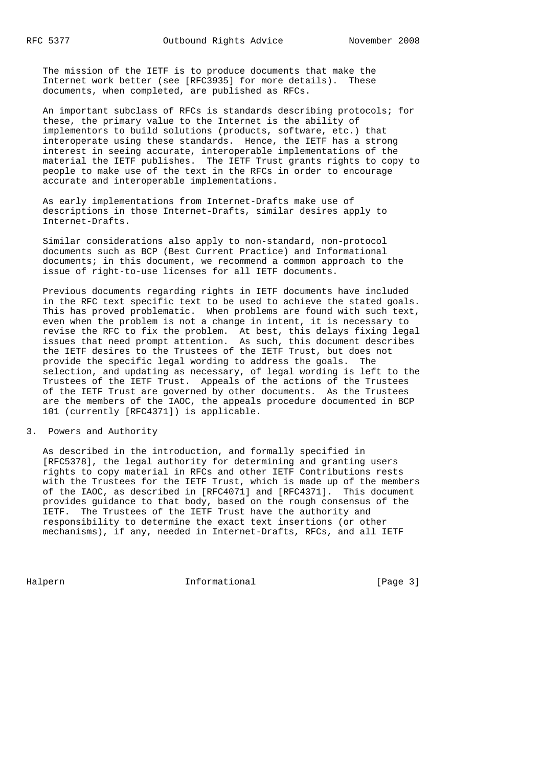The mission of the IETF is to produce documents that make the Internet work better (see [RFC3935] for more details). These documents, when completed, are published as RFCs.

 An important subclass of RFCs is standards describing protocols; for these, the primary value to the Internet is the ability of implementors to build solutions (products, software, etc.) that interoperate using these standards. Hence, the IETF has a strong interest in seeing accurate, interoperable implementations of the material the IETF publishes. The IETF Trust grants rights to copy to people to make use of the text in the RFCs in order to encourage accurate and interoperable implementations.

 As early implementations from Internet-Drafts make use of descriptions in those Internet-Drafts, similar desires apply to Internet-Drafts.

 Similar considerations also apply to non-standard, non-protocol documents such as BCP (Best Current Practice) and Informational documents; in this document, we recommend a common approach to the issue of right-to-use licenses for all IETF documents.

 Previous documents regarding rights in IETF documents have included in the RFC text specific text to be used to achieve the stated goals. This has proved problematic. When problems are found with such text, even when the problem is not a change in intent, it is necessary to revise the RFC to fix the problem. At best, this delays fixing legal issues that need prompt attention. As such, this document describes the IETF desires to the Trustees of the IETF Trust, but does not provide the specific legal wording to address the goals. The selection, and updating as necessary, of legal wording is left to the Trustees of the IETF Trust. Appeals of the actions of the Trustees of the IETF Trust are governed by other documents. As the Trustees are the members of the IAOC, the appeals procedure documented in BCP 101 (currently [RFC4371]) is applicable.

### 3. Powers and Authority

 As described in the introduction, and formally specified in [RFC5378], the legal authority for determining and granting users rights to copy material in RFCs and other IETF Contributions rests with the Trustees for the IETF Trust, which is made up of the members of the IAOC, as described in [RFC4071] and [RFC4371]. This document provides guidance to that body, based on the rough consensus of the IETF. The Trustees of the IETF Trust have the authority and responsibility to determine the exact text insertions (or other mechanisms), if any, needed in Internet-Drafts, RFCs, and all IETF

Halpern 1nformational [Page 3]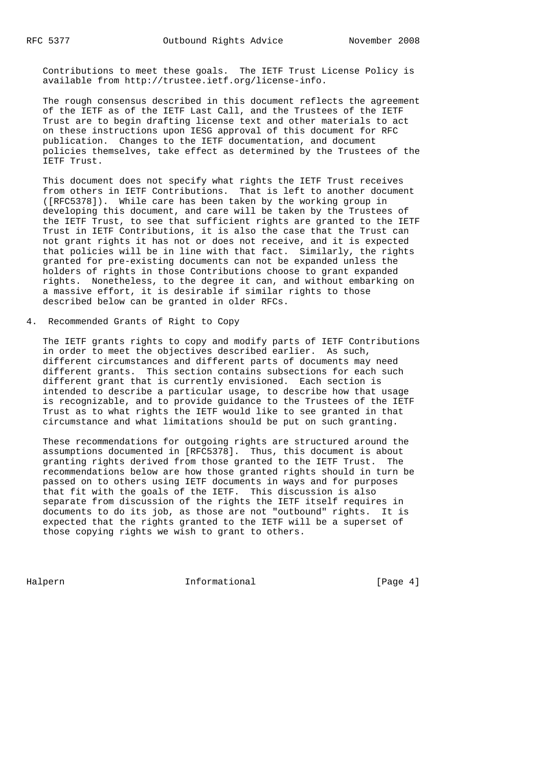Contributions to meet these goals. The IETF Trust License Policy is available from http://trustee.ietf.org/license-info.

 The rough consensus described in this document reflects the agreement of the IETF as of the IETF Last Call, and the Trustees of the IETF Trust are to begin drafting license text and other materials to act on these instructions upon IESG approval of this document for RFC publication. Changes to the IETF documentation, and document policies themselves, take effect as determined by the Trustees of the IETF Trust.

 This document does not specify what rights the IETF Trust receives from others in IETF Contributions. That is left to another document ([RFC5378]). While care has been taken by the working group in developing this document, and care will be taken by the Trustees of the IETF Trust, to see that sufficient rights are granted to the IETF Trust in IETF Contributions, it is also the case that the Trust can not grant rights it has not or does not receive, and it is expected that policies will be in line with that fact. Similarly, the rights granted for pre-existing documents can not be expanded unless the holders of rights in those Contributions choose to grant expanded rights. Nonetheless, to the degree it can, and without embarking on a massive effort, it is desirable if similar rights to those described below can be granted in older RFCs.

4. Recommended Grants of Right to Copy

 The IETF grants rights to copy and modify parts of IETF Contributions in order to meet the objectives described earlier. As such, different circumstances and different parts of documents may need different grants. This section contains subsections for each such different grant that is currently envisioned. Each section is intended to describe a particular usage, to describe how that usage is recognizable, and to provide guidance to the Trustees of the IETF Trust as to what rights the IETF would like to see granted in that circumstance and what limitations should be put on such granting.

 These recommendations for outgoing rights are structured around the assumptions documented in [RFC5378]. Thus, this document is about granting rights derived from those granted to the IETF Trust. The recommendations below are how those granted rights should in turn be passed on to others using IETF documents in ways and for purposes that fit with the goals of the IETF. This discussion is also separate from discussion of the rights the IETF itself requires in documents to do its job, as those are not "outbound" rights. It is expected that the rights granted to the IETF will be a superset of those copying rights we wish to grant to others.

Halpern Informational [Page 4]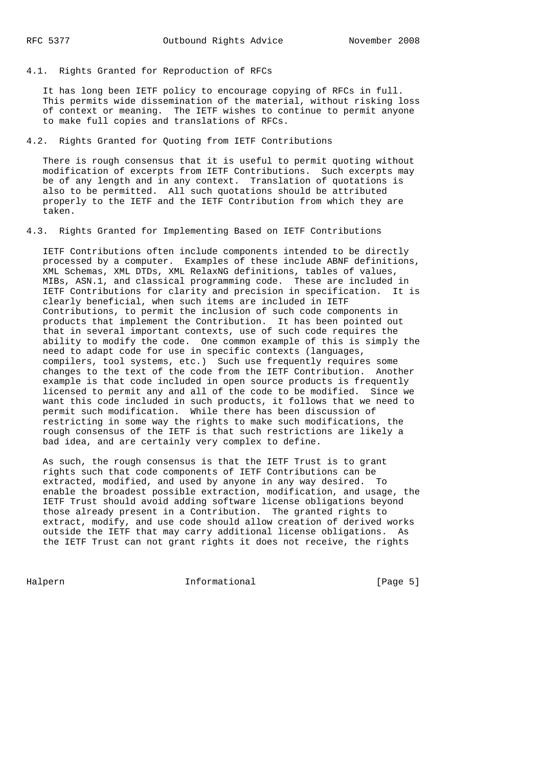It has long been IETF policy to encourage copying of RFCs in full. This permits wide dissemination of the material, without risking loss of context or meaning. The IETF wishes to continue to permit anyone to make full copies and translations of RFCs.

## 4.2. Rights Granted for Quoting from IETF Contributions

 There is rough consensus that it is useful to permit quoting without modification of excerpts from IETF Contributions. Such excerpts may be of any length and in any context. Translation of quotations is also to be permitted. All such quotations should be attributed properly to the IETF and the IETF Contribution from which they are taken.

4.3. Rights Granted for Implementing Based on IETF Contributions

 IETF Contributions often include components intended to be directly processed by a computer. Examples of these include ABNF definitions, XML Schemas, XML DTDs, XML RelaxNG definitions, tables of values, MIBs, ASN.1, and classical programming code. These are included in IETF Contributions for clarity and precision in specification. It is clearly beneficial, when such items are included in IETF Contributions, to permit the inclusion of such code components in products that implement the Contribution. It has been pointed out that in several important contexts, use of such code requires the ability to modify the code. One common example of this is simply the need to adapt code for use in specific contexts (languages, compilers, tool systems, etc.) Such use frequently requires some changes to the text of the code from the IETF Contribution. Another example is that code included in open source products is frequently licensed to permit any and all of the code to be modified. Since we want this code included in such products, it follows that we need to permit such modification. While there has been discussion of restricting in some way the rights to make such modifications, the rough consensus of the IETF is that such restrictions are likely a bad idea, and are certainly very complex to define.

 As such, the rough consensus is that the IETF Trust is to grant rights such that code components of IETF Contributions can be extracted, modified, and used by anyone in any way desired. To enable the broadest possible extraction, modification, and usage, the IETF Trust should avoid adding software license obligations beyond those already present in a Contribution. The granted rights to extract, modify, and use code should allow creation of derived works outside the IETF that may carry additional license obligations. As the IETF Trust can not grant rights it does not receive, the rights

Halpern Informational [Page 5]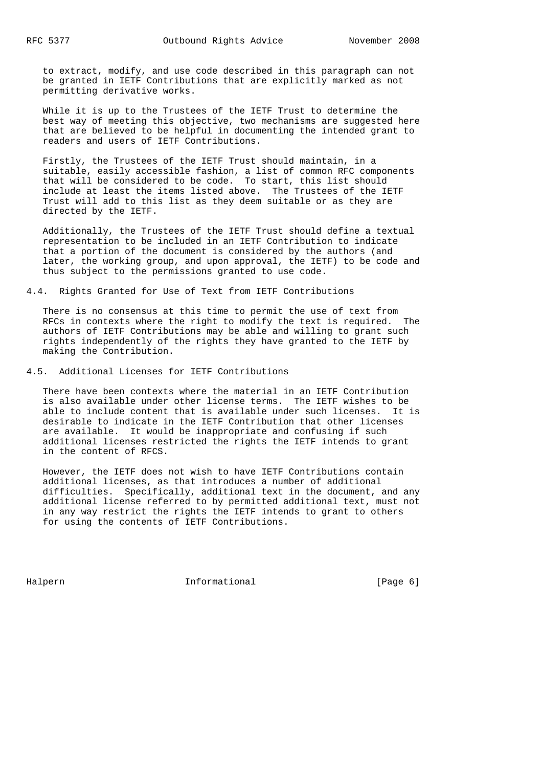to extract, modify, and use code described in this paragraph can not be granted in IETF Contributions that are explicitly marked as not permitting derivative works.

 While it is up to the Trustees of the IETF Trust to determine the best way of meeting this objective, two mechanisms are suggested here that are believed to be helpful in documenting the intended grant to readers and users of IETF Contributions.

 Firstly, the Trustees of the IETF Trust should maintain, in a suitable, easily accessible fashion, a list of common RFC components that will be considered to be code. To start, this list should include at least the items listed above. The Trustees of the IETF Trust will add to this list as they deem suitable or as they are directed by the IETF.

 Additionally, the Trustees of the IETF Trust should define a textual representation to be included in an IETF Contribution to indicate that a portion of the document is considered by the authors (and later, the working group, and upon approval, the IETF) to be code and thus subject to the permissions granted to use code.

4.4. Rights Granted for Use of Text from IETF Contributions

 There is no consensus at this time to permit the use of text from RFCs in contexts where the right to modify the text is required. The authors of IETF Contributions may be able and willing to grant such rights independently of the rights they have granted to the IETF by making the Contribution.

4.5. Additional Licenses for IETF Contributions

 There have been contexts where the material in an IETF Contribution is also available under other license terms. The IETF wishes to be able to include content that is available under such licenses. It is desirable to indicate in the IETF Contribution that other licenses are available. It would be inappropriate and confusing if such additional licenses restricted the rights the IETF intends to grant in the content of RFCS.

 However, the IETF does not wish to have IETF Contributions contain additional licenses, as that introduces a number of additional difficulties. Specifically, additional text in the document, and any additional license referred to by permitted additional text, must not in any way restrict the rights the IETF intends to grant to others for using the contents of IETF Contributions.

Halpern 1nformational [Page 6]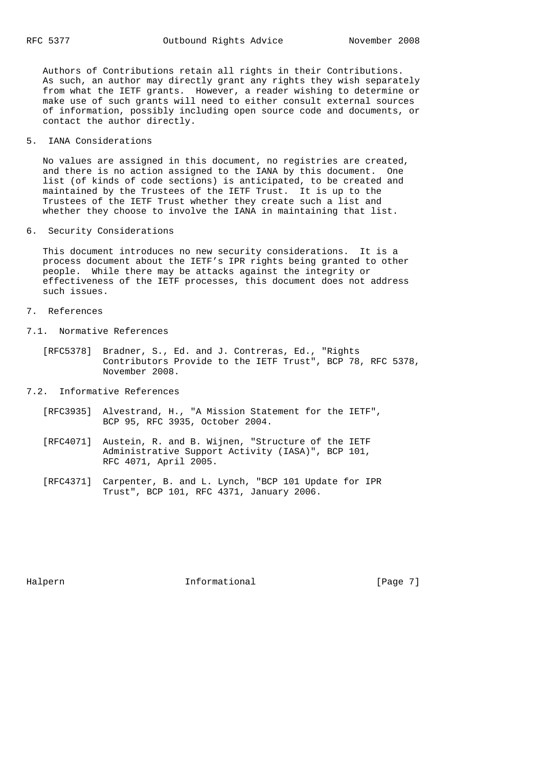Authors of Contributions retain all rights in their Contributions. As such, an author may directly grant any rights they wish separately from what the IETF grants. However, a reader wishing to determine or make use of such grants will need to either consult external sources of information, possibly including open source code and documents, or contact the author directly.

5. IANA Considerations

 No values are assigned in this document, no registries are created, and there is no action assigned to the IANA by this document. One list (of kinds of code sections) is anticipated, to be created and maintained by the Trustees of the IETF Trust. It is up to the Trustees of the IETF Trust whether they create such a list and whether they choose to involve the IANA in maintaining that list.

6. Security Considerations

 This document introduces no new security considerations. It is a process document about the IETF's IPR rights being granted to other people. While there may be attacks against the integrity or effectiveness of the IETF processes, this document does not address such issues.

- 7. References
- 7.1. Normative References
- [RFC5378] Bradner, S., Ed. and J. Contreras, Ed., "Rights Contributors Provide to the IETF Trust", BCP 78, RFC 5378, November 2008.
- 7.2. Informative References
	- [RFC3935] Alvestrand, H., "A Mission Statement for the IETF", BCP 95, RFC 3935, October 2004.
	- [RFC4071] Austein, R. and B. Wijnen, "Structure of the IETF Administrative Support Activity (IASA)", BCP 101, RFC 4071, April 2005.
	- [RFC4371] Carpenter, B. and L. Lynch, "BCP 101 Update for IPR Trust", BCP 101, RFC 4371, January 2006.

Halpern **Informational** Informational [Page 7]